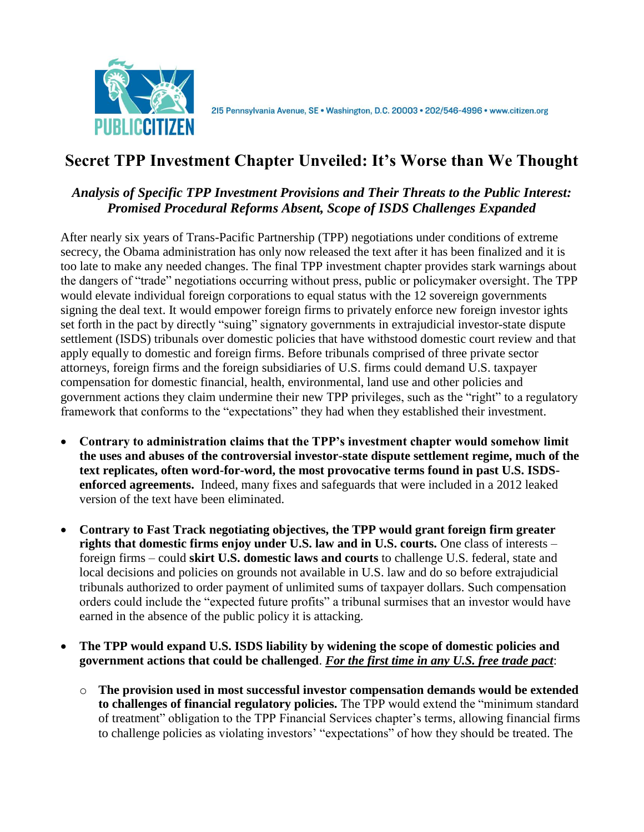

# **Secret TPP Investment Chapter Unveiled: It's Worse than We Thought**

#### *Analysis of Specific TPP Investment Provisions and Their Threats to the Public Interest: Promised Procedural Reforms Absent, Scope of ISDS Challenges Expanded*

After nearly six years of Trans-Pacific Partnership (TPP) negotiations under conditions of extreme secrecy, the Obama administration has only now released the text after it has been finalized and it is too late to make any needed changes. The final TPP investment chapter provides stark warnings about the dangers of "trade" negotiations occurring without press, public or policymaker oversight. The TPP would elevate individual foreign corporations to equal status with the 12 sovereign governments signing the deal text. It would empower foreign firms to privately enforce new foreign investor ights set forth in the pact by directly "suing" signatory governments in extrajudicial investor-state dispute settlement (ISDS) tribunals over domestic policies that have withstood domestic court review and that apply equally to domestic and foreign firms. Before tribunals comprised of three private sector attorneys, foreign firms and the foreign subsidiaries of U.S. firms could demand U.S. taxpayer compensation for domestic financial, health, environmental, land use and other policies and government actions they claim undermine their new TPP privileges, such as the "right" to a regulatory framework that conforms to the "expectations" they had when they established their investment.

- **Contrary to administration claims that the TPP's investment chapter would somehow limit the uses and abuses of the controversial investor-state dispute settlement regime, much of the text replicates, often word-for-word, the most provocative terms found in past U.S. ISDSenforced agreements.** Indeed, many fixes and safeguards that were included in a 2012 leaked version of the text have been eliminated.
- **Contrary to Fast Track negotiating objectives, the TPP would grant foreign firm greater rights that domestic firms enjoy under U.S. law and in U.S. courts.** One class of interests – foreign firms – could **skirt U.S. domestic laws and courts** to challenge U.S. federal, state and local decisions and policies on grounds not available in U.S. law and do so before extrajudicial tribunals authorized to order payment of unlimited sums of taxpayer dollars. Such compensation orders could include the "expected future profits" a tribunal surmises that an investor would have earned in the absence of the public policy it is attacking.
- **The TPP would expand U.S. ISDS liability by widening the scope of domestic policies and government actions that could be challenged**. *For the first time in any U.S. free trade pact*:
	- o **The provision used in most successful investor compensation demands would be extended to challenges of financial regulatory policies.** The TPP would extend the "minimum standard of treatment" obligation to the TPP Financial Services chapter's terms, allowing financial firms to challenge policies as violating investors' "expectations" of how they should be treated. The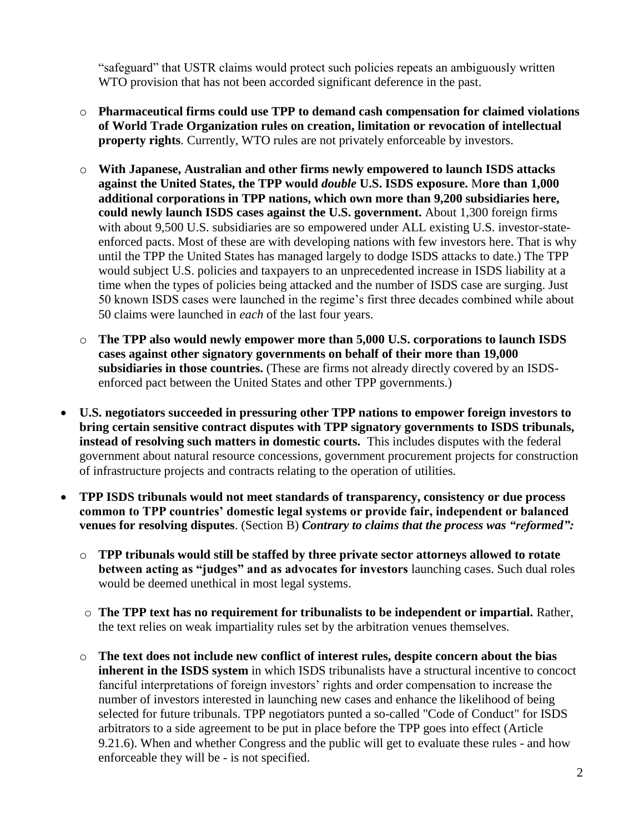"safeguard" that USTR claims would protect such policies repeats an ambiguously written WTO provision that has not been accorded significant deference in the past.

- o **Pharmaceutical firms could use TPP to demand cash compensation for claimed violations of World Trade Organization rules on creation, limitation or revocation of intellectual property rights**. Currently, WTO rules are not privately enforceable by investors.
- o **With Japanese, Australian and other firms newly empowered to launch ISDS attacks against the United States, the TPP would** *double* **U.S. ISDS exposure.** M**ore than 1,000 additional corporations in TPP nations, which own more than 9,200 subsidiaries here, could newly launch ISDS cases against the U.S. government.** About 1,300 foreign firms with about 9,500 U.S. subsidiaries are so empowered under ALL existing U.S. investor-stateenforced pacts. Most of these are with developing nations with few investors here. That is why until the TPP the United States has managed largely to dodge ISDS attacks to date.) The TPP would subject U.S. policies and taxpayers to an unprecedented increase in ISDS liability at a time when the types of policies being attacked and the number of ISDS case are surging. Just 50 known ISDS cases were launched in the regime's first three decades combined while about 50 claims were launched in *each* of the last four years.
- o **The TPP also would newly empower more than 5,000 U.S. corporations to launch ISDS cases against other signatory governments on behalf of their more than 19,000 subsidiaries in those countries.** (These are firms not already directly covered by an ISDSenforced pact between the United States and other TPP governments.)
- **U.S. negotiators succeeded in pressuring other TPP nations to empower foreign investors to bring certain sensitive contract disputes with TPP signatory governments to ISDS tribunals, instead of resolving such matters in domestic courts.** This includes disputes with the federal government about natural resource concessions, government procurement projects for construction of infrastructure projects and contracts relating to the operation of utilities.
- **TPP ISDS tribunals would not meet standards of transparency, consistency or due process common to TPP countries' domestic legal systems or provide fair, independent or balanced venues for resolving disputes**. (Section B) *Contrary to claims that the process was "reformed":*
	- o **TPP tribunals would still be staffed by three private sector attorneys allowed to rotate between acting as "judges" and as advocates for investors** launching cases. Such dual roles would be deemed unethical in most legal systems.
	- o **The TPP text has no requirement for tribunalists to be independent or impartial.** Rather, the text relies on weak impartiality rules set by the arbitration venues themselves.
	- o **The text does not include new conflict of interest rules, despite concern about the bias inherent in the ISDS system** in which ISDS tribunalists have a structural incentive to concoct fanciful interpretations of foreign investors' rights and order compensation to increase the number of investors interested in launching new cases and enhance the likelihood of being selected for future tribunals. TPP negotiators punted a so-called "Code of Conduct" for ISDS arbitrators to a side agreement to be put in place before the TPP goes into effect (Article 9.21.6). When and whether Congress and the public will get to evaluate these rules - and how enforceable they will be - is not specified.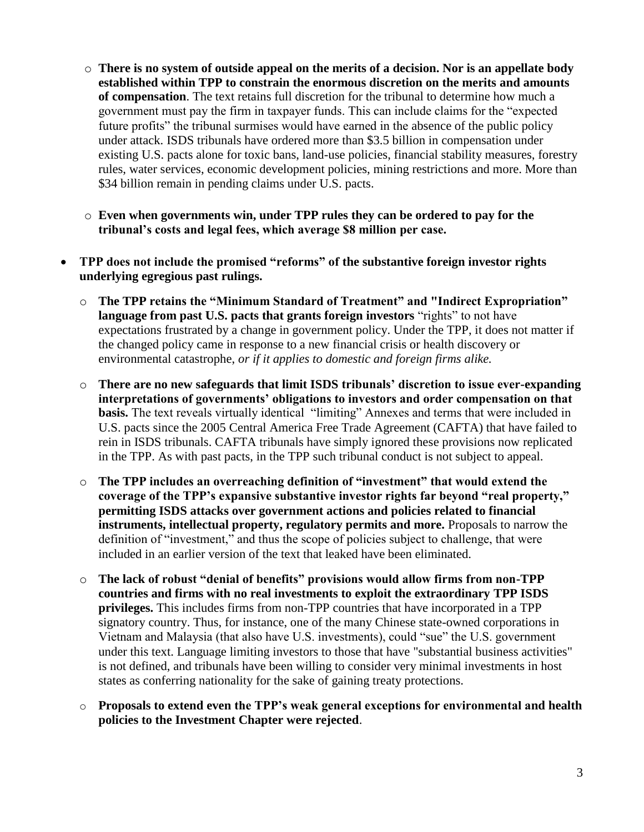- o **There is no system of outside appeal on the merits of a decision. Nor is an appellate body established within TPP to constrain the enormous discretion on the merits and amounts of compensation**. The text retains full discretion for the tribunal to determine how much a government must pay the firm in taxpayer funds. This can include claims for the "expected future profits" the tribunal surmises would have earned in the absence of the public policy under attack. ISDS tribunals have ordered more than \$3.5 billion in compensation under existing U.S. pacts alone for toxic bans, land-use policies, financial stability measures, forestry rules, water services, economic development policies, mining restrictions and more. More than \$34 billion remain in pending claims under U.S. pacts.
- o **Even when governments win, under TPP rules they can be ordered to pay for the tribunal's costs and legal fees, which average \$8 million per case.**
- **TPP does not include the promised "reforms" of the substantive foreign investor rights underlying egregious past rulings.** 
	- o **The TPP retains the "Minimum Standard of Treatment" and "Indirect Expropriation" language from past U.S. pacts that grants foreign investors** "rights" to not have expectations frustrated by a change in government policy. Under the TPP, it does not matter if the changed policy came in response to a new financial crisis or health discovery or environmental catastrophe, *or if it applies to domestic and foreign firms alike.*
	- o **There are no new safeguards that limit ISDS tribunals' discretion to issue ever-expanding interpretations of governments' obligations to investors and order compensation on that basis.** The text reveals virtually identical "limiting" Annexes and terms that were included in U.S. pacts since the 2005 Central America Free Trade Agreement (CAFTA) that have failed to rein in ISDS tribunals. CAFTA tribunals have simply ignored these provisions now replicated in the TPP. As with past pacts, in the TPP such tribunal conduct is not subject to appeal.
	- o **The TPP includes an overreaching definition of "investment" that would extend the coverage of the TPP's expansive substantive investor rights far beyond "real property," permitting ISDS attacks over government actions and policies related to financial instruments, intellectual property, regulatory permits and more.** Proposals to narrow the definition of "investment," and thus the scope of policies subject to challenge, that were included in an earlier version of the text that leaked have been eliminated.
	- o **The lack of robust "denial of benefits" provisions would allow firms from non-TPP countries and firms with no real investments to exploit the extraordinary TPP ISDS privileges.** This includes firms from non-TPP countries that have incorporated in a TPP signatory country. Thus, for instance, one of the many Chinese state-owned corporations in Vietnam and Malaysia (that also have U.S. investments), could "sue" the U.S. government under this text. Language limiting investors to those that have "substantial business activities" is not defined, and tribunals have been willing to consider very minimal investments in host states as conferring nationality for the sake of gaining treaty protections.
	- o **Proposals to extend even the TPP's weak general exceptions for environmental and health policies to the Investment Chapter were rejected**.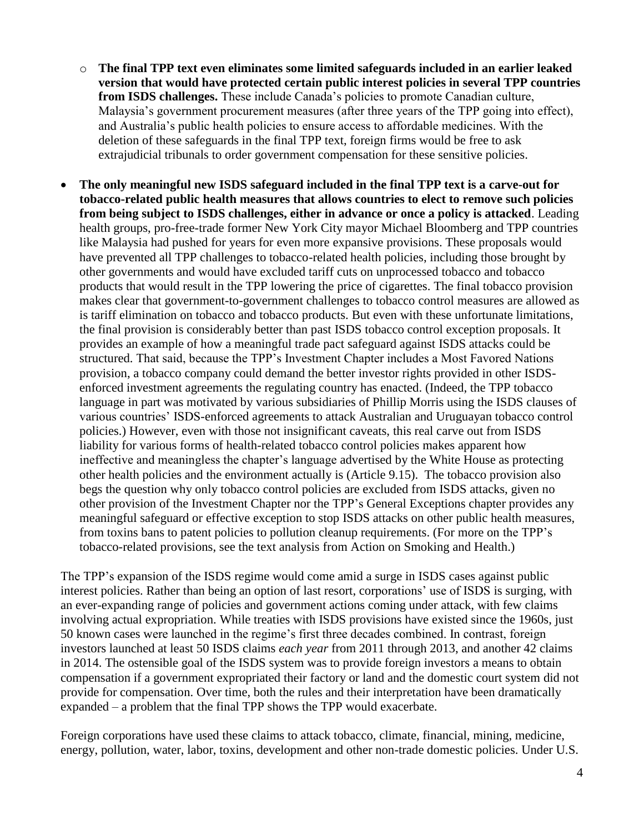- o **The final TPP text even eliminates some limited safeguards included in an earlier leaked version that would have protected certain public interest policies in several TPP countries from ISDS challenges.** These include Canada's policies to promote Canadian culture, Malaysia's government procurement measures (after three years of the TPP going into effect), and Australia's public health policies to ensure access to affordable medicines. With the deletion of these safeguards in the final TPP text, foreign firms would be free to ask extrajudicial tribunals to order government compensation for these sensitive policies.
- **The only meaningful new ISDS safeguard included in the final TPP text is a carve-out for tobacco-related public health measures that allows countries to elect to remove such policies from being subject to ISDS challenges, either in advance or once a policy is attacked**. Leading health groups, pro-free-trade former New York City mayor Michael Bloomberg and TPP countries like Malaysia had pushed for years for even more expansive provisions. These proposals would have prevented all TPP challenges to tobacco-related health policies, including those brought by other governments and would have excluded tariff cuts on unprocessed tobacco and tobacco products that would result in the TPP lowering the price of cigarettes. The final tobacco provision makes clear that government-to-government challenges to tobacco control measures are allowed as is tariff elimination on tobacco and tobacco products. But even with these unfortunate limitations, the final provision is considerably better than past ISDS tobacco control exception proposals. It provides an example of how a meaningful trade pact safeguard against ISDS attacks could be structured. That said, because the TPP's Investment Chapter includes a Most Favored Nations provision, a tobacco company could demand the better investor rights provided in other ISDSenforced investment agreements the regulating country has enacted. (Indeed, the TPP tobacco language in part was motivated by various subsidiaries of Phillip Morris using the ISDS clauses of various countries' ISDS-enforced agreements to attack Australian and Uruguayan tobacco control policies.) However, even with those not insignificant caveats, this real carve out from ISDS liability for various forms of health-related tobacco control policies makes apparent how ineffective and meaningless the chapter's language advertised by the White House as protecting other health policies and the environment actually is (Article 9.15). The tobacco provision also begs the question why only tobacco control policies are excluded from ISDS attacks, given no other provision of the Investment Chapter nor the TPP's General Exceptions chapter provides any meaningful safeguard or effective exception to stop ISDS attacks on other public health measures, from toxins bans to patent policies to pollution cleanup requirements. (For more on the TPP's tobacco-related provisions, see the text analysis from Action on Smoking and Health.)

The TPP's expansion of the ISDS regime would come amid a surge in ISDS cases against public interest policies. Rather than being an option of last resort, corporations' use of ISDS is surging, with an ever-expanding range of policies and government actions coming under attack, with few claims involving actual expropriation. While treaties with ISDS provisions have existed since the 1960s, just 50 known cases were launched in the regime's first three decades combined. In contrast, foreign investors launched at least 50 ISDS claims *each year* from 2011 through 2013, and another 42 claims in 2014. The ostensible goal of the ISDS system was to provide foreign investors a means to obtain compensation if a government expropriated their factory or land and the domestic court system did not provide for compensation. Over time, both the rules and their interpretation have been dramatically expanded – a problem that the final TPP shows the TPP would exacerbate.

Foreign corporations have used these claims to attack tobacco, climate, financial, mining, medicine, energy, pollution, water, labor, toxins, development and other non-trade domestic policies. Under U.S.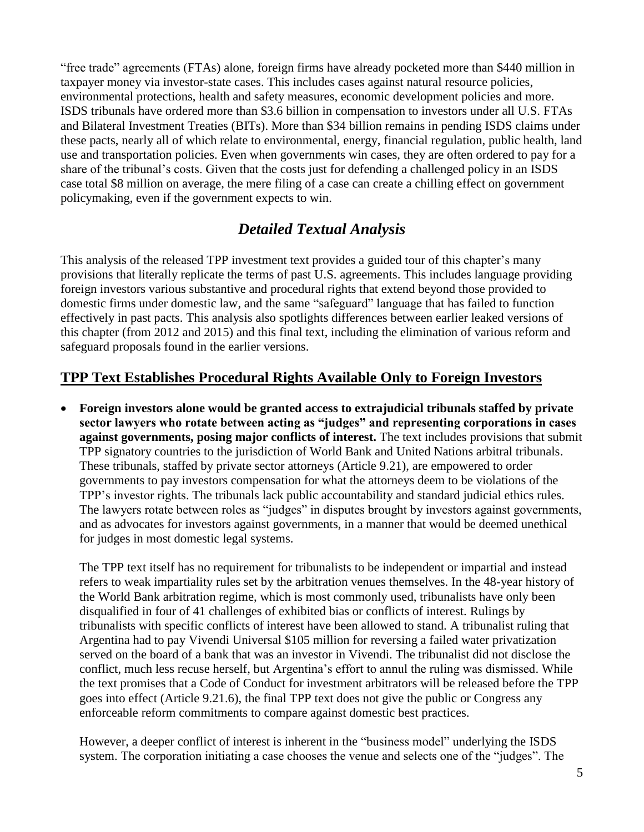"free trade" agreements (FTAs) alone, foreign firms have already pocketed more than \$440 million in taxpayer money via investor-state cases. This includes cases against natural resource policies, environmental protections, health and safety measures, economic development policies and more. ISDS tribunals have ordered more than \$3.6 billion in compensation to investors under all U.S. FTAs and Bilateral Investment Treaties (BITs). More than \$34 billion remains in pending ISDS claims under these pacts, nearly all of which relate to environmental, energy, financial regulation, public health, land use and transportation policies. Even when governments win cases, they are often ordered to pay for a share of the tribunal's costs. Given that the costs just for defending a challenged policy in an ISDS case total \$8 million on average, the mere filing of a case can create a chilling effect on government policymaking, even if the government expects to win.

## *Detailed Textual Analysis*

This analysis of the released TPP investment text provides a guided tour of this chapter's many provisions that literally replicate the terms of past U.S. agreements. This includes language providing foreign investors various substantive and procedural rights that extend beyond those provided to domestic firms under domestic law, and the same "safeguard" language that has failed to function effectively in past pacts. This analysis also spotlights differences between earlier leaked versions of this chapter (from 2012 and 2015) and this final text, including the elimination of various reform and safeguard proposals found in the earlier versions.

## **TPP Text Establishes Procedural Rights Available Only to Foreign Investors**

 **Foreign investors alone would be granted access to extrajudicial tribunals staffed by private sector lawyers who rotate between acting as "judges" and representing corporations in cases against governments, posing major conflicts of interest.** The text includes provisions that submit TPP signatory countries to the jurisdiction of World Bank and United Nations arbitral tribunals. These tribunals, staffed by private sector attorneys (Article 9.21), are empowered to order governments to pay investors compensation for what the attorneys deem to be violations of the TPP's investor rights. The tribunals lack public accountability and standard judicial ethics rules. The lawyers rotate between roles as "judges" in disputes brought by investors against governments, and as advocates for investors against governments, in a manner that would be deemed unethical for judges in most domestic legal systems.

The TPP text itself has no requirement for tribunalists to be independent or impartial and instead refers to weak impartiality rules set by the arbitration venues themselves. In the 48-year history of the World Bank arbitration regime, which is most commonly used, tribunalists have only been disqualified in four of 41 challenges of exhibited bias or conflicts of interest. Rulings by tribunalists with specific conflicts of interest have been allowed to stand. A tribunalist ruling that Argentina had to pay Vivendi Universal \$105 million for reversing a failed water privatization served on the board of a bank that was an investor in Vivendi. The tribunalist did not disclose the conflict, much less recuse herself, but Argentina's effort to annul the ruling was dismissed. While the text promises that a Code of Conduct for investment arbitrators will be released before the TPP goes into effect (Article 9.21.6), the final TPP text does not give the public or Congress any enforceable reform commitments to compare against domestic best practices.

However, a deeper conflict of interest is inherent in the "business model" underlying the ISDS system. The corporation initiating a case chooses the venue and selects one of the "judges". The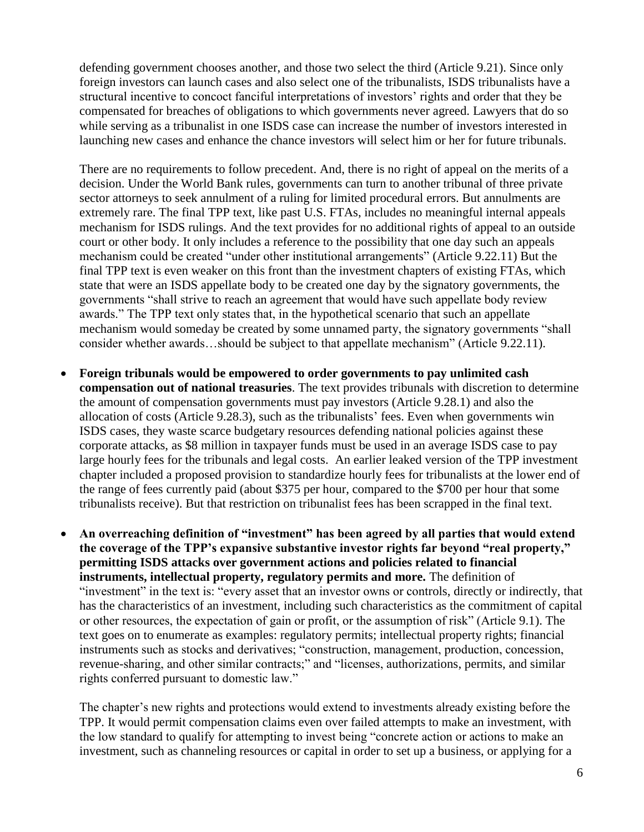defending government chooses another, and those two select the third (Article 9.21). Since only foreign investors can launch cases and also select one of the tribunalists, ISDS tribunalists have a structural incentive to concoct fanciful interpretations of investors' rights and order that they be compensated for breaches of obligations to which governments never agreed. Lawyers that do so while serving as a tribunalist in one ISDS case can increase the number of investors interested in launching new cases and enhance the chance investors will select him or her for future tribunals.

There are no requirements to follow precedent. And, there is no right of appeal on the merits of a decision. Under the World Bank rules, governments can turn to another tribunal of three private sector attorneys to seek annulment of a ruling for limited procedural errors. But annulments are extremely rare. The final TPP text, like past U.S. FTAs, includes no meaningful internal appeals mechanism for ISDS rulings. And the text provides for no additional rights of appeal to an outside court or other body. It only includes a reference to the possibility that one day such an appeals mechanism could be created "under other institutional arrangements" (Article 9.22.11) But the final TPP text is even weaker on this front than the investment chapters of existing FTAs, which state that were an ISDS appellate body to be created one day by the signatory governments, the governments "shall strive to reach an agreement that would have such appellate body review awards." The TPP text only states that, in the hypothetical scenario that such an appellate mechanism would someday be created by some unnamed party, the signatory governments "shall consider whether awards…should be subject to that appellate mechanism" (Article 9.22.11).

- **Foreign tribunals would be empowered to order governments to pay unlimited cash compensation out of national treasuries**. The text provides tribunals with discretion to determine the amount of compensation governments must pay investors (Article 9.28.1) and also the allocation of costs (Article 9.28.3), such as the tribunalists' fees. Even when governments win ISDS cases, they waste scarce budgetary resources defending national policies against these corporate attacks, as \$8 million in taxpayer funds must be used in an average ISDS case to pay large hourly fees for the tribunals and legal costs. An earlier leaked version of the TPP investment chapter included a proposed provision to standardize hourly fees for tribunalists at the lower end of the range of fees currently paid (about \$375 per hour, compared to the \$700 per hour that some tribunalists receive). But that restriction on tribunalist fees has been scrapped in the final text.
- **An overreaching definition of "investment" has been agreed by all parties that would extend the coverage of the TPP's expansive substantive investor rights far beyond "real property," permitting ISDS attacks over government actions and policies related to financial instruments, intellectual property, regulatory permits and more.** The definition of "investment" in the text is: "every asset that an investor owns or controls, directly or indirectly, that has the characteristics of an investment, including such characteristics as the commitment of capital or other resources, the expectation of gain or profit, or the assumption of risk" (Article 9.1). The text goes on to enumerate as examples: regulatory permits; intellectual property rights; financial instruments such as stocks and derivatives; "construction, management, production, concession, revenue-sharing, and other similar contracts;" and "licenses, authorizations, permits, and similar rights conferred pursuant to domestic law."

The chapter's new rights and protections would extend to investments already existing before the TPP. It would permit compensation claims even over failed attempts to make an investment, with the low standard to qualify for attempting to invest being "concrete action or actions to make an investment, such as channeling resources or capital in order to set up a business, or applying for a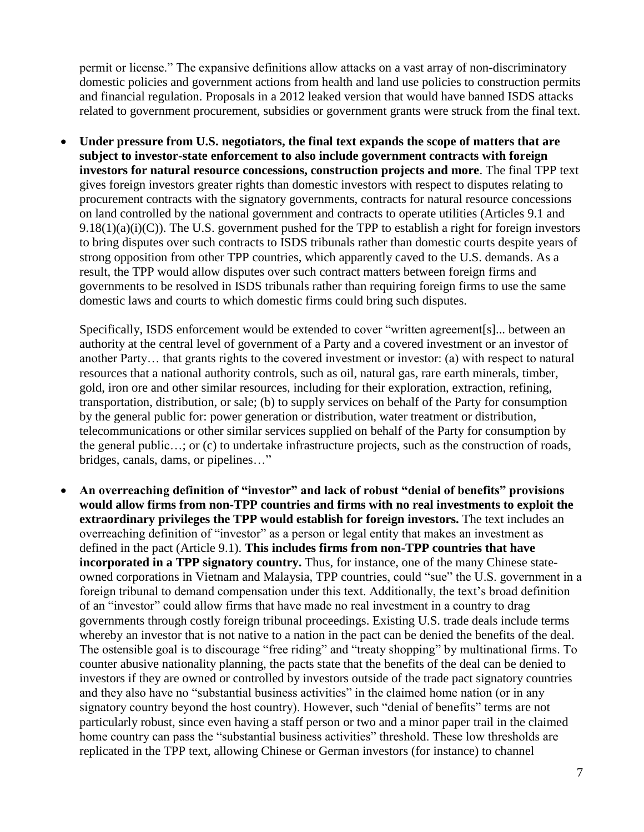permit or license." The expansive definitions allow attacks on a vast array of non-discriminatory domestic policies and government actions from health and land use policies to construction permits and financial regulation. Proposals in a 2012 leaked version that would have banned ISDS attacks related to government procurement, subsidies or government grants were struck from the final text.

 **Under pressure from U.S. negotiators, the final text expands the scope of matters that are subject to investor-state enforcement to also include government contracts with foreign investors for natural resource concessions, construction projects and more**. The final TPP text gives foreign investors greater rights than domestic investors with respect to disputes relating to procurement contracts with the signatory governments, contracts for natural resource concessions on land controlled by the national government and contracts to operate utilities (Articles 9.1 and  $9.18(1)(a)(i)(C)$ ). The U.S. government pushed for the TPP to establish a right for foreign investors to bring disputes over such contracts to ISDS tribunals rather than domestic courts despite years of strong opposition from other TPP countries, which apparently caved to the U.S. demands. As a result, the TPP would allow disputes over such contract matters between foreign firms and governments to be resolved in ISDS tribunals rather than requiring foreign firms to use the same domestic laws and courts to which domestic firms could bring such disputes.

Specifically, ISDS enforcement would be extended to cover "written agreement[s]... between an authority at the central level of government of a Party and a covered investment or an investor of another Party… that grants rights to the covered investment or investor: (a) with respect to natural resources that a national authority controls, such as oil, natural gas, rare earth minerals, timber, gold, iron ore and other similar resources, including for their exploration, extraction, refining, transportation, distribution, or sale; (b) to supply services on behalf of the Party for consumption by the general public for: power generation or distribution, water treatment or distribution, telecommunications or other similar services supplied on behalf of the Party for consumption by the general public…; or (c) to undertake infrastructure projects, such as the construction of roads, bridges, canals, dams, or pipelines…"

 **An overreaching definition of "investor" and lack of robust "denial of benefits" provisions would allow firms from non-TPP countries and firms with no real investments to exploit the extraordinary privileges the TPP would establish for foreign investors.** The text includes an overreaching definition of "investor" as a person or legal entity that makes an investment as defined in the pact (Article 9.1). **This includes firms from non-TPP countries that have incorporated in a TPP signatory country.** Thus, for instance, one of the many Chinese stateowned corporations in Vietnam and Malaysia, TPP countries, could "sue" the U.S. government in a foreign tribunal to demand compensation under this text. Additionally, the text's broad definition of an "investor" could allow firms that have made no real investment in a country to drag governments through costly foreign tribunal proceedings. Existing U.S. trade deals include terms whereby an investor that is not native to a nation in the pact can be denied the benefits of the deal. The ostensible goal is to discourage "free riding" and "treaty shopping" by multinational firms. To counter abusive nationality planning, the pacts state that the benefits of the deal can be denied to investors if they are owned or controlled by investors outside of the trade pact signatory countries and they also have no "substantial business activities" in the claimed home nation (or in any signatory country beyond the host country). However, such "denial of benefits" terms are not particularly robust, since even having a staff person or two and a minor paper trail in the claimed home country can pass the "substantial business activities" threshold. These low thresholds are replicated in the TPP text, allowing Chinese or German investors (for instance) to channel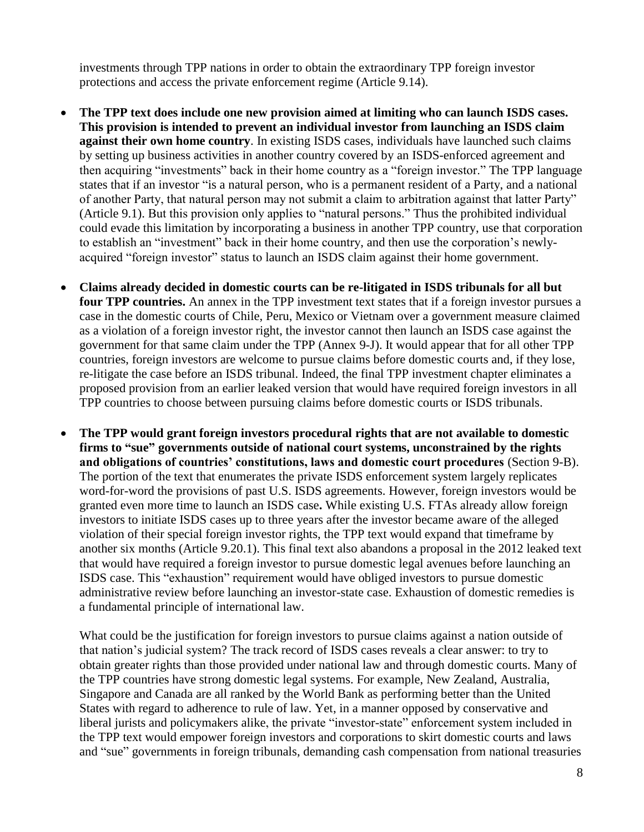investments through TPP nations in order to obtain the extraordinary TPP foreign investor protections and access the private enforcement regime (Article 9.14).

- **The TPP text does include one new provision aimed at limiting who can launch ISDS cases. This provision is intended to prevent an individual investor from launching an ISDS claim against their own home country**. In existing ISDS cases, individuals have launched such claims by setting up business activities in another country covered by an ISDS-enforced agreement and then acquiring "investments" back in their home country as a "foreign investor." The TPP language states that if an investor "is a natural person, who is a permanent resident of a Party, and a national of another Party, that natural person may not submit a claim to arbitration against that latter Party" (Article 9.1). But this provision only applies to "natural persons." Thus the prohibited individual could evade this limitation by incorporating a business in another TPP country, use that corporation to establish an "investment" back in their home country, and then use the corporation's newlyacquired "foreign investor" status to launch an ISDS claim against their home government.
- **Claims already decided in domestic courts can be re-litigated in ISDS tribunals for all but four TPP countries.** An annex in the TPP investment text states that if a foreign investor pursues a case in the domestic courts of Chile, Peru, Mexico or Vietnam over a government measure claimed as a violation of a foreign investor right, the investor cannot then launch an ISDS case against the government for that same claim under the TPP (Annex 9-J). It would appear that for all other TPP countries, foreign investors are welcome to pursue claims before domestic courts and, if they lose, re-litigate the case before an ISDS tribunal. Indeed, the final TPP investment chapter eliminates a proposed provision from an earlier leaked version that would have required foreign investors in all TPP countries to choose between pursuing claims before domestic courts or ISDS tribunals.
- **The TPP would grant foreign investors procedural rights that are not available to domestic firms to "sue" governments outside of national court systems, unconstrained by the rights and obligations of countries' constitutions, laws and domestic court procedures** (Section 9-B). The portion of the text that enumerates the private ISDS enforcement system largely replicates word-for-word the provisions of past U.S. ISDS agreements. However, foreign investors would be granted even more time to launch an ISDS case**.** While existing U.S. FTAs already allow foreign investors to initiate ISDS cases up to three years after the investor became aware of the alleged violation of their special foreign investor rights, the TPP text would expand that timeframe by another six months (Article 9.20.1). This final text also abandons a proposal in the 2012 leaked text that would have required a foreign investor to pursue domestic legal avenues before launching an ISDS case. This "exhaustion" requirement would have obliged investors to pursue domestic administrative review before launching an investor-state case. Exhaustion of domestic remedies is a fundamental principle of international law.

What could be the justification for foreign investors to pursue claims against a nation outside of that nation's judicial system? The track record of ISDS cases reveals a clear answer: to try to obtain greater rights than those provided under national law and through domestic courts. Many of the TPP countries have strong domestic legal systems. For example, New Zealand, Australia, Singapore and Canada are all ranked by the World Bank as performing better than the United States with regard to adherence to rule of law. Yet, in a manner opposed by conservative and liberal jurists and policymakers alike, the private "investor-state" enforcement system included in the TPP text would empower foreign investors and corporations to skirt domestic courts and laws and "sue" governments in foreign tribunals, demanding cash compensation from national treasuries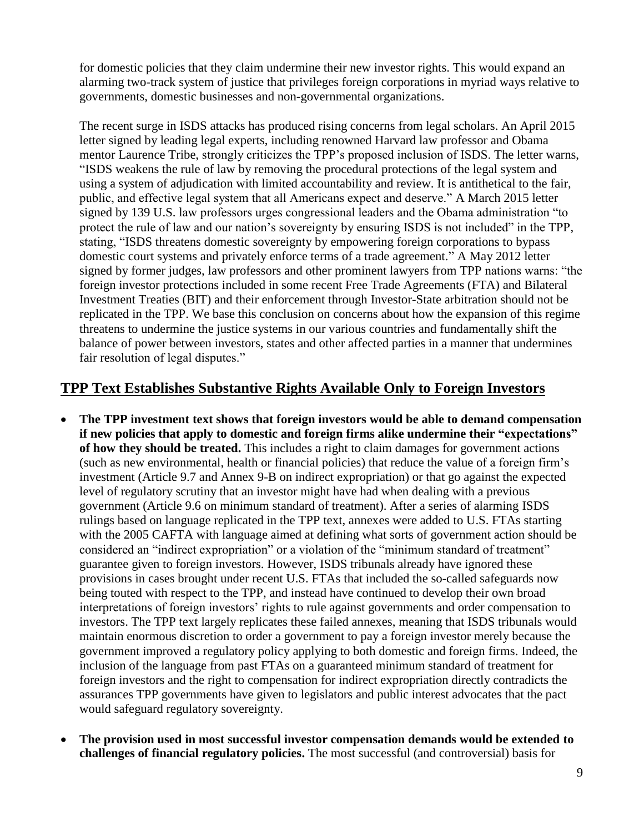for domestic policies that they claim undermine their new investor rights. This would expand an alarming two-track system of justice that privileges foreign corporations in myriad ways relative to governments, domestic businesses and non-governmental organizations.

The recent surge in ISDS attacks has produced rising concerns from legal scholars. An April 2015 letter signed by leading legal experts, including renowned Harvard law professor and Obama mentor Laurence Tribe, strongly criticizes the TPP's proposed inclusion of ISDS. The letter warns, "ISDS weakens the rule of law by removing the procedural protections of the legal system and using a system of adjudication with limited accountability and review. It is antithetical to the fair, public, and effective legal system that all Americans expect and deserve." A March 2015 letter signed by 139 U.S. law professors urges congressional leaders and the Obama administration "to protect the rule of law and our nation's sovereignty by ensuring ISDS is not included" in the TPP, stating, "ISDS threatens domestic sovereignty by empowering foreign corporations to bypass domestic court systems and privately enforce terms of a trade agreement." A May 2012 letter signed by former judges, law professors and other prominent lawyers from TPP nations warns: "the foreign investor protections included in some recent Free Trade Agreements (FTA) and Bilateral Investment Treaties (BIT) and their enforcement through Investor-State arbitration should not be replicated in the TPP. We base this conclusion on concerns about how the expansion of this regime threatens to undermine the justice systems in our various countries and fundamentally shift the balance of power between investors, states and other affected parties in a manner that undermines fair resolution of legal disputes."

### **TPP Text Establishes Substantive Rights Available Only to Foreign Investors**

- **The TPP investment text shows that foreign investors would be able to demand compensation if new policies that apply to domestic and foreign firms alike undermine their "expectations" of how they should be treated.** This includes a right to claim damages for government actions (such as new environmental, health or financial policies) that reduce the value of a foreign firm's investment (Article 9.7 and Annex 9-B on indirect expropriation) or that go against the expected level of regulatory scrutiny that an investor might have had when dealing with a previous government (Article 9.6 on minimum standard of treatment). After a series of alarming ISDS rulings based on language replicated in the TPP text, annexes were added to U.S. FTAs starting with the 2005 CAFTA with language aimed at defining what sorts of government action should be considered an "indirect expropriation" or a violation of the "minimum standard of treatment" guarantee given to foreign investors. However, ISDS tribunals already have ignored these provisions in cases brought under recent U.S. FTAs that included the so-called safeguards now being touted with respect to the TPP, and instead have continued to develop their own broad interpretations of foreign investors' rights to rule against governments and order compensation to investors. The TPP text largely replicates these failed annexes, meaning that ISDS tribunals would maintain enormous discretion to order a government to pay a foreign investor merely because the government improved a regulatory policy applying to both domestic and foreign firms. Indeed, the inclusion of the language from past FTAs on a guaranteed minimum standard of treatment for foreign investors and the right to compensation for indirect expropriation directly contradicts the assurances TPP governments have given to legislators and public interest advocates that the pact would safeguard regulatory sovereignty.
- **The provision used in most successful investor compensation demands would be extended to challenges of financial regulatory policies.** The most successful (and controversial) basis for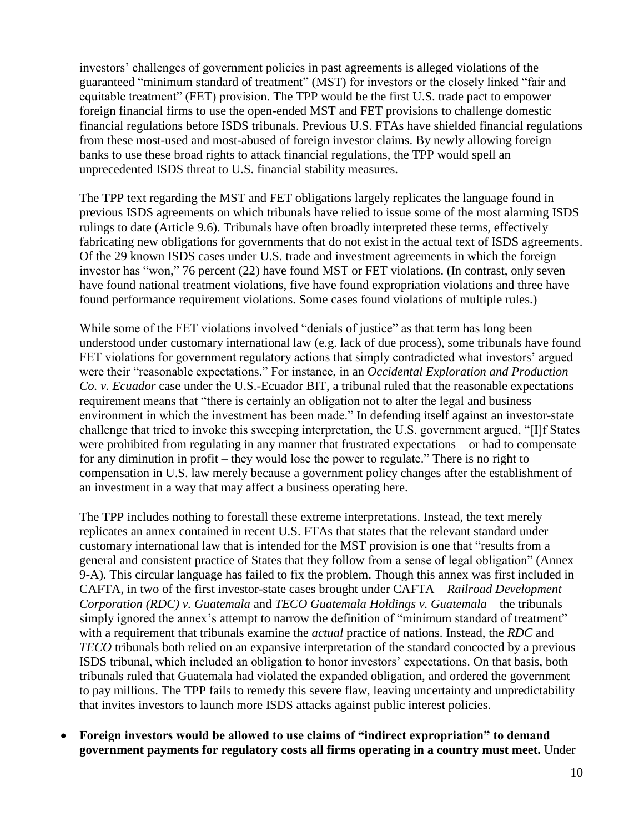investors' challenges of government policies in past agreements is alleged violations of the guaranteed "minimum standard of treatment" (MST) for investors or the closely linked "fair and equitable treatment" (FET) provision. The TPP would be the first U.S. trade pact to empower foreign financial firms to use the open-ended MST and FET provisions to challenge domestic financial regulations before ISDS tribunals. Previous U.S. FTAs have shielded financial regulations from these most-used and most-abused of foreign investor claims. By newly allowing foreign banks to use these broad rights to attack financial regulations, the TPP would spell an unprecedented ISDS threat to U.S. financial stability measures.

The TPP text regarding the MST and FET obligations largely replicates the language found in previous ISDS agreements on which tribunals have relied to issue some of the most alarming ISDS rulings to date (Article 9.6). Tribunals have often broadly interpreted these terms, effectively fabricating new obligations for governments that do not exist in the actual text of ISDS agreements. Of the 29 known ISDS cases under U.S. trade and investment agreements in which the foreign investor has "won," 76 percent (22) have found MST or FET violations. (In contrast, only seven have found national treatment violations, five have found expropriation violations and three have found performance requirement violations. Some cases found violations of multiple rules.)

While some of the FET violations involved "denials of justice" as that term has long been understood under customary international law (e.g. lack of due process), some tribunals have found FET violations for government regulatory actions that simply contradicted what investors' argued were their "reasonable expectations." For instance, in an *Occidental Exploration and Production Co. v. Ecuador* case under the U.S.-Ecuador BIT, a tribunal ruled that the reasonable expectations requirement means that "there is certainly an obligation not to alter the legal and business environment in which the investment has been made." In defending itself against an investor-state challenge that tried to invoke this sweeping interpretation, the U.S. government argued, "[I]f States were prohibited from regulating in any manner that frustrated expectations – or had to compensate for any diminution in profit – they would lose the power to regulate." There is no right to compensation in U.S. law merely because a government policy changes after the establishment of an investment in a way that may affect a business operating here.

The TPP includes nothing to forestall these extreme interpretations. Instead, the text merely replicates an annex contained in recent U.S. FTAs that states that the relevant standard under customary international law that is intended for the MST provision is one that "results from a general and consistent practice of States that they follow from a sense of legal obligation" (Annex 9-A). This circular language has failed to fix the problem. Though this annex was first included in CAFTA, in two of the first investor-state cases brought under CAFTA – *Railroad Development Corporation (RDC) v. Guatemala* and *TECO Guatemala Holdings v. Guatemala* – the tribunals simply ignored the annex's attempt to narrow the definition of "minimum standard of treatment" with a requirement that tribunals examine the *actual* practice of nations. Instead, the *RDC* and *TECO* tribunals both relied on an expansive interpretation of the standard concocted by a previous ISDS tribunal, which included an obligation to honor investors' expectations. On that basis, both tribunals ruled that Guatemala had violated the expanded obligation, and ordered the government to pay millions. The TPP fails to remedy this severe flaw, leaving uncertainty and unpredictability that invites investors to launch more ISDS attacks against public interest policies.

 **Foreign investors would be allowed to use claims of "indirect expropriation" to demand government payments for regulatory costs all firms operating in a country must meet.** Under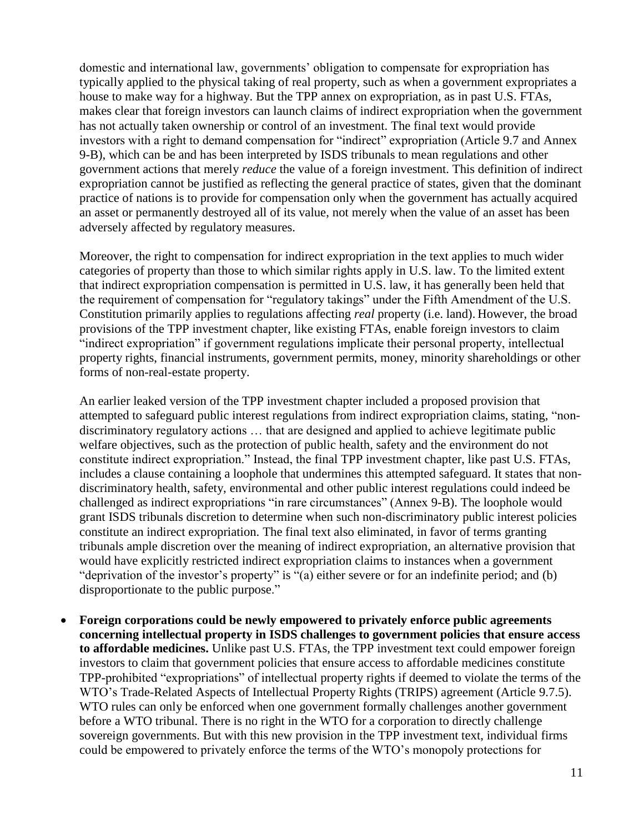domestic and international law, governments' obligation to compensate for expropriation has typically applied to the physical taking of real property, such as when a government expropriates a house to make way for a highway. But the TPP annex on expropriation, as in past U.S. FTAs, makes clear that foreign investors can launch claims of indirect expropriation when the government has not actually taken ownership or control of an investment. The final text would provide investors with a right to demand compensation for "indirect" expropriation (Article 9.7 and Annex 9-B), which can be and has been interpreted by ISDS tribunals to mean regulations and other government actions that merely *reduce* the value of a foreign investment. This definition of indirect expropriation cannot be justified as reflecting the general practice of states, given that the dominant practice of nations is to provide for compensation only when the government has actually acquired an asset or permanently destroyed all of its value, not merely when the value of an asset has been adversely affected by regulatory measures.

Moreover, the right to compensation for indirect expropriation in the text applies to much wider categories of property than those to which similar rights apply in U.S. law. To the limited extent that indirect expropriation compensation is permitted in U.S. law, it has generally been held that the requirement of compensation for "regulatory takings" under the Fifth Amendment of the U.S. Constitution primarily applies to regulations affecting *real* property (i.e. land). However, the broad provisions of the TPP investment chapter, like existing FTAs, enable foreign investors to claim "indirect expropriation" if government regulations implicate their personal property, intellectual property rights, financial instruments, government permits, money, minority shareholdings or other forms of non-real-estate property.

An earlier leaked version of the TPP investment chapter included a proposed provision that attempted to safeguard public interest regulations from indirect expropriation claims, stating, "nondiscriminatory regulatory actions … that are designed and applied to achieve legitimate public welfare objectives, such as the protection of public health, safety and the environment do not constitute indirect expropriation." Instead, the final TPP investment chapter, like past U.S. FTAs, includes a clause containing a loophole that undermines this attempted safeguard. It states that nondiscriminatory health, safety, environmental and other public interest regulations could indeed be challenged as indirect expropriations "in rare circumstances" (Annex 9-B). The loophole would grant ISDS tribunals discretion to determine when such non-discriminatory public interest policies constitute an indirect expropriation. The final text also eliminated, in favor of terms granting tribunals ample discretion over the meaning of indirect expropriation, an alternative provision that would have explicitly restricted indirect expropriation claims to instances when a government "deprivation of the investor's property" is "(a) either severe or for an indefinite period; and (b) disproportionate to the public purpose."

 **Foreign corporations could be newly empowered to privately enforce public agreements concerning intellectual property in ISDS challenges to government policies that ensure access to affordable medicines.** Unlike past U.S. FTAs, the TPP investment text could empower foreign investors to claim that government policies that ensure access to affordable medicines constitute TPP-prohibited "expropriations" of intellectual property rights if deemed to violate the terms of the WTO's Trade-Related Aspects of Intellectual Property Rights (TRIPS) agreement (Article 9.7.5). WTO rules can only be enforced when one government formally challenges another government before a WTO tribunal. There is no right in the WTO for a corporation to directly challenge sovereign governments. But with this new provision in the TPP investment text, individual firms could be empowered to privately enforce the terms of the WTO's monopoly protections for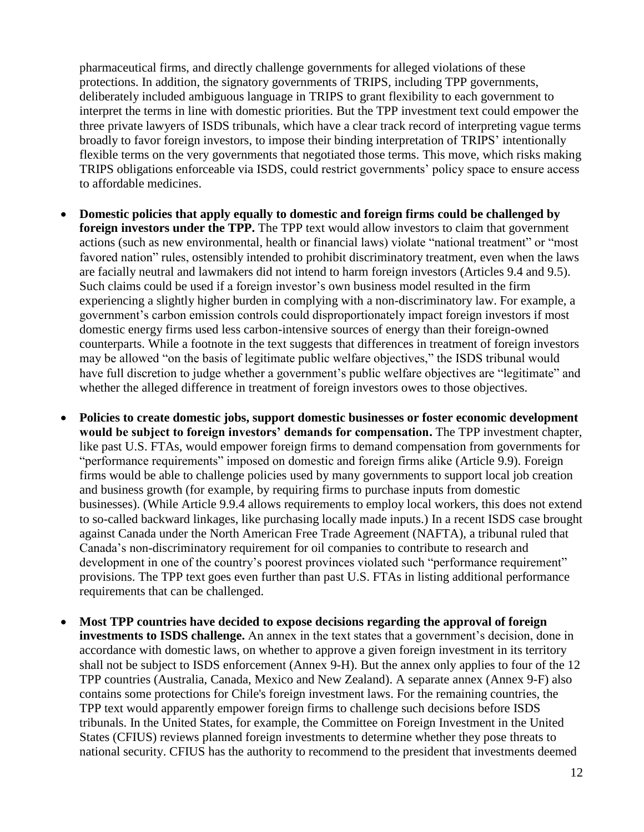pharmaceutical firms, and directly challenge governments for alleged violations of these protections. In addition, the signatory governments of TRIPS, including TPP governments, deliberately included ambiguous language in TRIPS to grant flexibility to each government to interpret the terms in line with domestic priorities. But the TPP investment text could empower the three private lawyers of ISDS tribunals, which have a clear track record of interpreting vague terms broadly to favor foreign investors, to impose their binding interpretation of TRIPS' intentionally flexible terms on the very governments that negotiated those terms. This move, which risks making TRIPS obligations enforceable via ISDS, could restrict governments' policy space to ensure access to affordable medicines.

- **Domestic policies that apply equally to domestic and foreign firms could be challenged by foreign investors under the TPP.** The TPP text would allow investors to claim that government actions (such as new environmental, health or financial laws) violate "national treatment" or "most favored nation" rules, ostensibly intended to prohibit discriminatory treatment, even when the laws are facially neutral and lawmakers did not intend to harm foreign investors (Articles 9.4 and 9.5). Such claims could be used if a foreign investor's own business model resulted in the firm experiencing a slightly higher burden in complying with a non-discriminatory law. For example, a government's carbon emission controls could disproportionately impact foreign investors if most domestic energy firms used less carbon-intensive sources of energy than their foreign-owned counterparts. While a footnote in the text suggests that differences in treatment of foreign investors may be allowed "on the basis of legitimate public welfare objectives," the ISDS tribunal would have full discretion to judge whether a government's public welfare objectives are "legitimate" and whether the alleged difference in treatment of foreign investors owes to those objectives.
- **Policies to create domestic jobs, support domestic businesses or foster economic development would be subject to foreign investors' demands for compensation.** The TPP investment chapter, like past U.S. FTAs, would empower foreign firms to demand compensation from governments for "performance requirements" imposed on domestic and foreign firms alike (Article 9.9). Foreign firms would be able to challenge policies used by many governments to support local job creation and business growth (for example, by requiring firms to purchase inputs from domestic businesses). (While Article 9.9.4 allows requirements to employ local workers, this does not extend to so-called backward linkages, like purchasing locally made inputs.) In a recent ISDS case brought against Canada under the North American Free Trade Agreement (NAFTA), a tribunal ruled that Canada's non-discriminatory requirement for oil companies to contribute to research and development in one of the country's poorest provinces violated such "performance requirement" provisions. The TPP text goes even further than past U.S. FTAs in listing additional performance requirements that can be challenged.
- **Most TPP countries have decided to expose decisions regarding the approval of foreign investments to ISDS challenge.** An annex in the text states that a government's decision, done in accordance with domestic laws, on whether to approve a given foreign investment in its territory shall not be subject to ISDS enforcement (Annex 9-H). But the annex only applies to four of the 12 TPP countries (Australia, Canada, Mexico and New Zealand). A separate annex (Annex 9-F) also contains some protections for Chile's foreign investment laws. For the remaining countries, the TPP text would apparently empower foreign firms to challenge such decisions before ISDS tribunals. In the United States, for example, the Committee on Foreign Investment in the United States (CFIUS) reviews planned foreign investments to determine whether they pose threats to national security. CFIUS has the authority to recommend to the president that investments deemed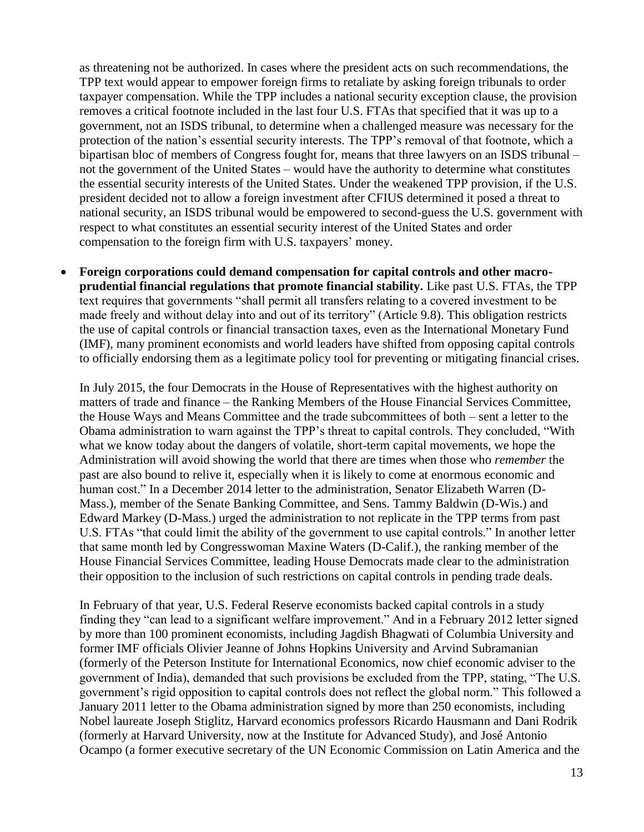as threatening not be authorized. In cases where the president acts on such recommendations, the TPP text would appear to empower foreign firms to retaliate by asking foreign tribunals to order taxpayer compensation. While the TPP includes a national security exception clause, the provision removes a critical footnote included in the last four U.S. FTAs that specified that it was up to a government, not an ISDS tribunal, to determine when a challenged measure was necessary for the protection of the nation's essential security interests. The TPP's removal of that footnote, which a bipartisan bloc of members of Congress fought for, means that three lawyers on an ISDS tribunal – not the government of the United States – would have the authority to determine what constitutes the essential security interests of the United States. Under the weakened TPP provision, if the U.S. president decided not to allow a foreign investment after CFIUS determined it posed a threat to national security, an ISDS tribunal would be empowered to second-guess the U.S. government with respect to what constitutes an essential security interest of the United States and order compensation to the foreign firm with U.S. taxpayers' money.

 **Foreign corporations could demand compensation for capital controls and other macroprudential financial regulations that promote financial stability.** Like past U.S. FTAs, the TPP text requires that governments "shall permit all transfers relating to a covered investment to be made freely and without delay into and out of its territory" (Article 9.8). This obligation restricts the use of capital controls or financial transaction taxes, even as the International Monetary Fund (IMF), many prominent economists and world leaders have shifted from opposing capital controls to officially endorsing them as a legitimate policy tool for preventing or mitigating financial crises.

In July 2015, the four Democrats in the House of Representatives with the highest authority on matters of trade and finance – the Ranking Members of the House Financial Services Committee, the House Ways and Means Committee and the trade subcommittees of both – sent a letter to the Obama administration to warn against the TPP's threat to capital controls. They concluded, "With what we know today about the dangers of volatile, short-term capital movements, we hope the Administration will avoid showing the world that there are times when those who *remember* the past are also bound to relive it, especially when it is likely to come at enormous economic and human cost." In a December 2014 letter to the administration, Senator Elizabeth Warren (D-Mass.), member of the Senate Banking Committee, and Sens. Tammy Baldwin (D-Wis.) and Edward Markey (D-Mass.) urged the administration to not replicate in the TPP terms from past U.S. FTAs "that could limit the ability of the government to use capital controls." In another letter that same month led by Congresswoman Maxine Waters (D-Calif.), the ranking member of the House Financial Services Committee, leading House Democrats made clear to the administration their opposition to the inclusion of such restrictions on capital controls in pending trade deals.

In February of that year, U.S. Federal Reserve economists backed capital controls in a study finding they "can lead to a significant welfare improvement." And in a February 2012 letter signed by more than 100 prominent economists, including Jagdish Bhagwati of Columbia University and former IMF officials Olivier Jeanne of Johns Hopkins University and Arvind Subramanian (formerly of the Peterson Institute for International Economics, now chief economic adviser to the government of India), demanded that such provisions be excluded from the TPP, stating, "The U.S. government's rigid opposition to capital controls does not reflect the global norm." This followed a January 2011 letter to the Obama administration signed by more than 250 economists, including Nobel laureate Joseph Stiglitz, Harvard economics professors Ricardo Hausmann and Dani Rodrik (formerly at Harvard University, now at the Institute for Advanced Study), and José Antonio Ocampo (a former executive secretary of the UN Economic Commission on Latin America and the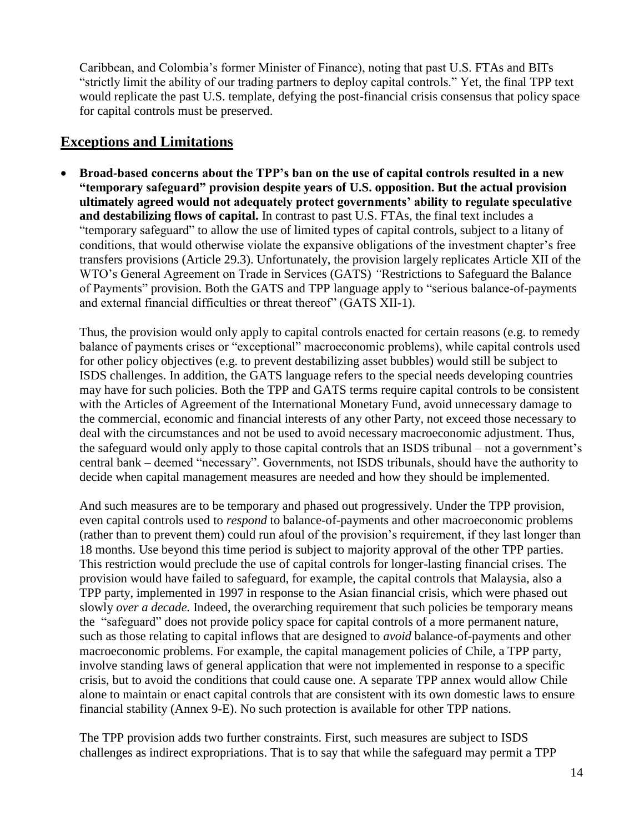Caribbean, and Colombia's former Minister of Finance), noting that past U.S. FTAs and BITs "strictly limit the ability of our trading partners to deploy capital controls." Yet, the final TPP text would replicate the past U.S. template, defying the post-financial crisis consensus that policy space for capital controls must be preserved.

#### **Exceptions and Limitations**

 **Broad-based concerns about the TPP's ban on the use of capital controls resulted in a new "temporary safeguard" provision despite years of U.S. opposition. But the actual provision ultimately agreed would not adequately protect governments' ability to regulate speculative and destabilizing flows of capital.** In contrast to past U.S. FTAs, the final text includes a "temporary safeguard" to allow the use of limited types of capital controls, subject to a litany of conditions, that would otherwise violate the expansive obligations of the investment chapter's free transfers provisions (Article 29.3). Unfortunately, the provision largely replicates Article XII of the WTO's General Agreement on Trade in Services (GATS) *"*Restrictions to Safeguard the Balance of Payments" provision. Both the GATS and TPP language apply to "serious balance-of-payments and external financial difficulties or threat thereof" (GATS XII-1).

Thus, the provision would only apply to capital controls enacted for certain reasons (e.g. to remedy balance of payments crises or "exceptional" macroeconomic problems), while capital controls used for other policy objectives (e.g. to prevent destabilizing asset bubbles) would still be subject to ISDS challenges. In addition, the GATS language refers to the special needs developing countries may have for such policies. Both the TPP and GATS terms require capital controls to be consistent with the Articles of Agreement of the International Monetary Fund, avoid unnecessary damage to the commercial, economic and financial interests of any other Party, not exceed those necessary to deal with the circumstances and not be used to avoid necessary macroeconomic adjustment. Thus, the safeguard would only apply to those capital controls that an ISDS tribunal – not a government's central bank – deemed "necessary". Governments, not ISDS tribunals, should have the authority to decide when capital management measures are needed and how they should be implemented.

And such measures are to be temporary and phased out progressively. Under the TPP provision, even capital controls used to *respond* to balance-of-payments and other macroeconomic problems (rather than to prevent them) could run afoul of the provision's requirement, if they last longer than 18 months. Use beyond this time period is subject to majority approval of the other TPP parties. This restriction would preclude the use of capital controls for longer-lasting financial crises. The provision would have failed to safeguard, for example, the capital controls that Malaysia, also a TPP party, implemented in 1997 in response to the Asian financial crisis, which were phased out slowly *over a decade.* Indeed, the overarching requirement that such policies be temporary means the "safeguard" does not provide policy space for capital controls of a more permanent nature, such as those relating to capital inflows that are designed to *avoid* balance-of-payments and other macroeconomic problems. For example, the capital management policies of Chile, a TPP party, involve standing laws of general application that were not implemented in response to a specific crisis, but to avoid the conditions that could cause one. A separate TPP annex would allow Chile alone to maintain or enact capital controls that are consistent with its own domestic laws to ensure financial stability (Annex 9-E). No such protection is available for other TPP nations.

The TPP provision adds two further constraints. First, such measures are subject to ISDS challenges as indirect expropriations. That is to say that while the safeguard may permit a TPP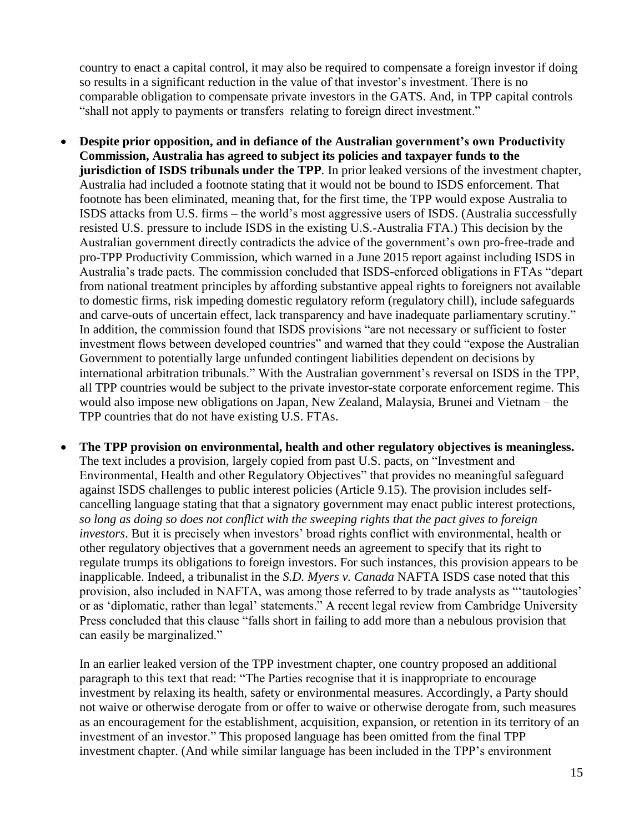country to enact a capital control, it may also be required to compensate a foreign investor if doing so results in a significant reduction in the value of that investor's investment. There is no comparable obligation to compensate private investors in the GATS. And, in TPP capital controls "shall not apply to payments or transfers relating to foreign direct investment."

- **Despite prior opposition, and in defiance of the Australian government's own Productivity Commission, Australia has agreed to subject its policies and taxpayer funds to the jurisdiction of ISDS tribunals under the TPP**. In prior leaked versions of the investment chapter, Australia had included a footnote stating that it would not be bound to ISDS enforcement. That footnote has been eliminated, meaning that, for the first time, the TPP would expose Australia to ISDS attacks from U.S. firms – the world's most aggressive users of ISDS. (Australia successfully resisted U.S. pressure to include ISDS in the existing U.S.-Australia FTA.) This decision by the Australian government directly contradicts the advice of the government's own pro-free-trade and pro-TPP Productivity Commission, which warned in a June 2015 report against including ISDS in Australia's trade pacts. The commission concluded that ISDS-enforced obligations in FTAs "depart from national treatment principles by affording substantive appeal rights to foreigners not available to domestic firms, risk impeding domestic regulatory reform (regulatory chill), include safeguards and carve-outs of uncertain effect, lack transparency and have inadequate parliamentary scrutiny." In addition, the commission found that ISDS provisions "are not necessary or sufficient to foster investment flows between developed countries" and warned that they could "expose the Australian Government to potentially large unfunded contingent liabilities dependent on decisions by international arbitration tribunals." With the Australian government's reversal on ISDS in the TPP, all TPP countries would be subject to the private investor-state corporate enforcement regime. This would also impose new obligations on Japan, New Zealand, Malaysia, Brunei and Vietnam – the TPP countries that do not have existing U.S. FTAs.
- **The TPP provision on environmental, health and other regulatory objectives is meaningless.**  The text includes a provision, largely copied from past U.S. pacts, on "Investment and Environmental, Health and other Regulatory Objectives" that provides no meaningful safeguard against ISDS challenges to public interest policies (Article 9.15). The provision includes selfcancelling language stating that that a signatory government may enact public interest protections, *so long as doing so does not conflict with the sweeping rights that the pact gives to foreign investors*. But it is precisely when investors' broad rights conflict with environmental, health or other regulatory objectives that a government needs an agreement to specify that its right to regulate trumps its obligations to foreign investors. For such instances, this provision appears to be inapplicable. Indeed, a tribunalist in the *S.D. Myers v. Canada* NAFTA ISDS case noted that this provision, also included in NAFTA, was among those referred to by trade analysts as "'tautologies' or as 'diplomatic, rather than legal' statements." A recent legal review from Cambridge University Press concluded that this clause "falls short in failing to add more than a nebulous provision that can easily be marginalized."

In an earlier leaked version of the TPP investment chapter, one country proposed an additional paragraph to this text that read: "The Parties recognise that it is inappropriate to encourage investment by relaxing its health, safety or environmental measures. Accordingly, a Party should not waive or otherwise derogate from or offer to waive or otherwise derogate from, such measures as an encouragement for the establishment, acquisition, expansion, or retention in its territory of an investment of an investor." This proposed language has been omitted from the final TPP investment chapter. (And while similar language has been included in the TPP's environment